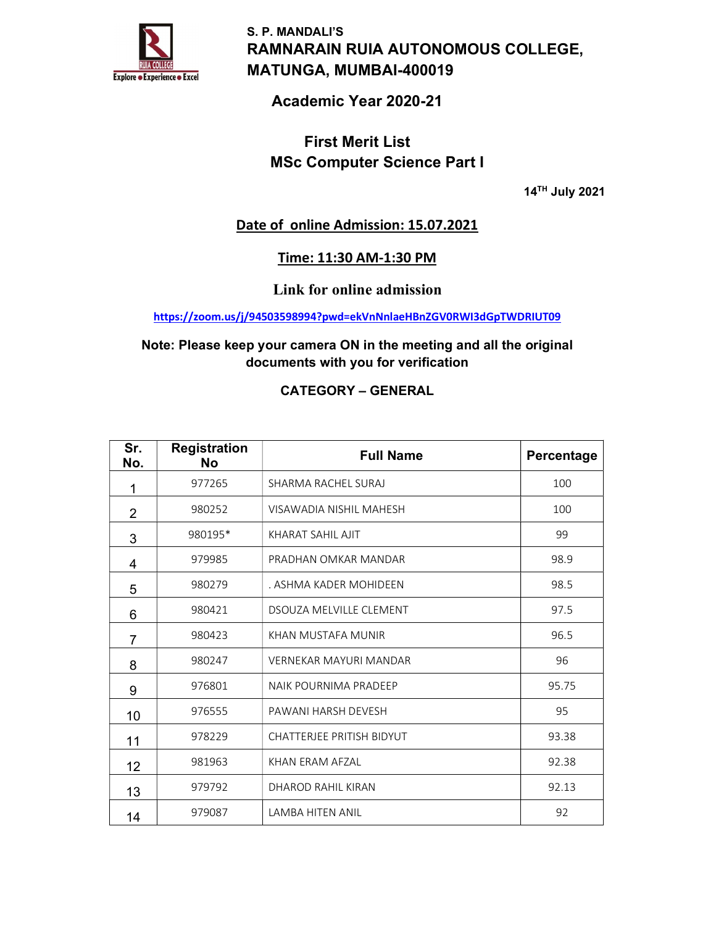

S. P. MANDALI'S RAMNARAIN RUIA AUTONOMOUS COLLEGE, MATUNGA, MUMBAI-400019

# Academic Year 2020-21

# First Merit List MSc Computer Science Part I

14TH July 2021

## Date of online Admission: 15.07.2021

## Time: 11:30 AM-1:30 PM

Link for online admission

https://zoom.us/j/94503598994?pwd=ekVnNnlaeHBnZGV0RWI3dGpTWDRIUT09

### Note: Please keep your camera ON in the meeting and all the original documents with you for verification

### CATEGORY – GENERAL

| Sr.<br>No.     | <b>Registration</b><br><b>No</b> | <b>Full Name</b>                 | Percentage |
|----------------|----------------------------------|----------------------------------|------------|
| 1              | 977265                           | SHARMA RACHEL SURAJ              | 100        |
| $\overline{2}$ | 980252                           | VISAWADIA NISHIL MAHESH          | 100        |
| 3              | 980195*                          | KHARAT SAHIL AJIT                | 99         |
| 4              | 979985                           | PRADHAN OMKAR MANDAR             | 98.9       |
| 5              | 980279                           | . ASHMA KADER MOHIDEEN           | 98.5       |
| 6              | 980421                           | <b>DSOUZA MELVILLE CLEMENT</b>   | 97.5       |
| 7              | 980423                           | KHAN MUSTAFA MUNIR               | 96.5       |
| 8              | 980247                           | VERNEKAR MAYURI MANDAR           | 96         |
| 9              | 976801                           | NAIK POURNIMA PRADEEP            | 95.75      |
| 10             | 976555                           | PAWANI HARSH DEVESH              | 95         |
| 11             | 978229                           | <b>CHATTERJEE PRITISH BIDYUT</b> | 93.38      |
| 12             | 981963                           | KHAN ERAM AFZAL                  | 92.38      |
| 13             | 979792                           | DHAROD RAHIL KIRAN               | 92.13      |
| 14             | 979087                           | <b>LAMBA HITEN ANIL</b>          | 92         |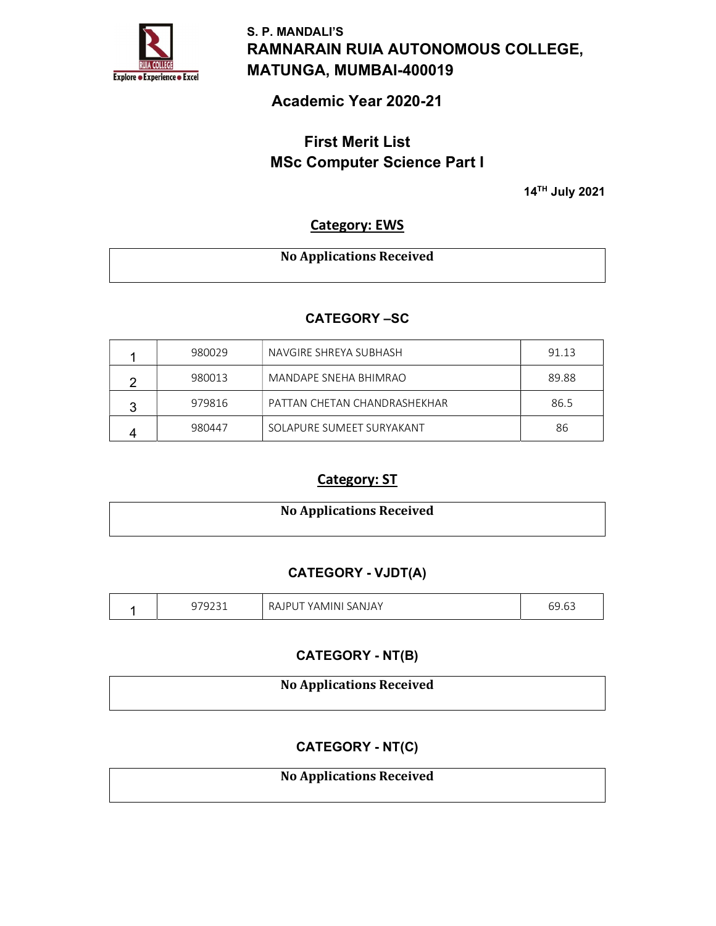

S. P. MANDALI'S RAMNARAIN RUIA AUTONOMOUS COLLEGE, MATUNGA, MUMBAI-400019

# Academic Year 2020-21

# First Merit List MSc Computer Science Part I

14TH July 2021

## Category: EWS

| <b>No Applications Received</b> |
|---------------------------------|
|                                 |

#### CATEGORY –SC

|   | 980029 | NAVGIRE SHREYA SUBHASH       | 91.13 |
|---|--------|------------------------------|-------|
| റ | 980013 | MANDAPF SNEHA BHIMRAO        | 89.88 |
| 2 | 979816 | PATTAN CHETAN CHANDRASHEKHAR | 86.5  |
|   | 980447 | SOLAPURE SUMEFT SURYAKANT    | 86    |

## Category: ST

| <b>No Applications Received</b> |  |
|---------------------------------|--|
|                                 |  |

### CATEGORY - VJDT(A)

|  | $\sim$ $\sim$ $\sim$ $\sim$<br>ت ،<br>◡<br>ᅩᇰᆂ<br>╯ | SANJAY<br><b>RAJP</b><br>'AMINI. | $\sim$ $\sim$<br>nu<br>◡◡.◡◡ |
|--|-----------------------------------------------------|----------------------------------|------------------------------|
|--|-----------------------------------------------------|----------------------------------|------------------------------|

#### CATEGORY - NT(B)

| <b>No Applications Received</b> |
|---------------------------------|
|                                 |

## CATEGORY - NT(C)

### No Applications Received